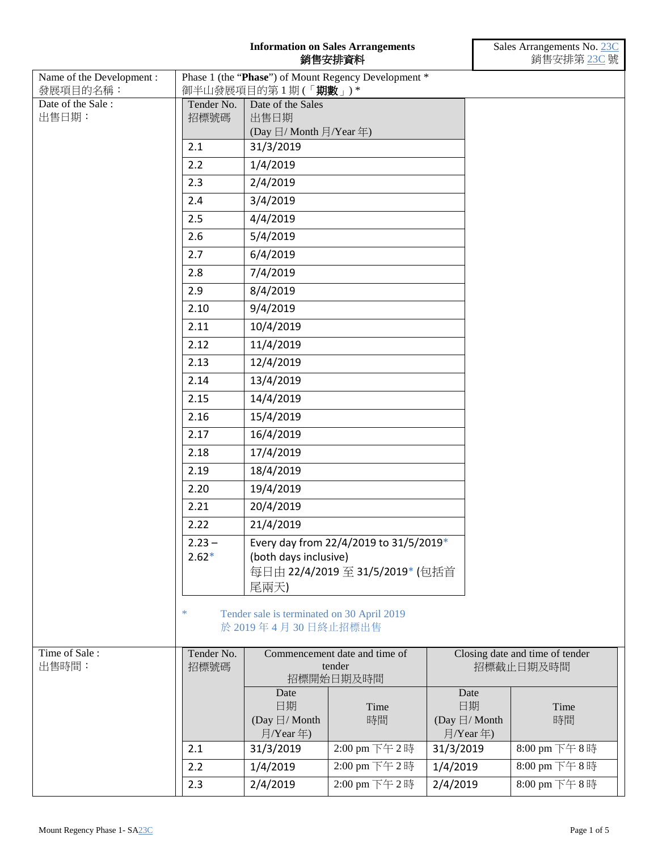## **Information on Sales Arrangements** 銷售安排資料

| Name of the Development :<br>發展項目的名稱: |                     | 御半山發展項目的第1期(「期數」)*                                               | Phase 1 (the "Phase") of Mount Regency Development * |                                                  |              |
|---------------------------------------|---------------------|------------------------------------------------------------------|------------------------------------------------------|--------------------------------------------------|--------------|
| Date of the Sale:<br>出售日期:            | Tender No.<br>招標號碼  | Date of the Sales<br>出售日期<br>(Day 日/ Month 月/Year 年)             |                                                      |                                                  |              |
|                                       | 2.1                 | 31/3/2019                                                        |                                                      |                                                  |              |
|                                       | 2.2                 | 1/4/2019                                                         |                                                      |                                                  |              |
|                                       | 2.3                 | 2/4/2019                                                         |                                                      |                                                  |              |
|                                       | 2.4                 | 3/4/2019                                                         |                                                      |                                                  |              |
|                                       | 2.5                 | 4/4/2019                                                         |                                                      |                                                  |              |
|                                       | 2.6                 | 5/4/2019                                                         |                                                      |                                                  |              |
|                                       | 2.7                 | 6/4/2019                                                         |                                                      |                                                  |              |
|                                       | 2.8                 | 7/4/2019                                                         |                                                      |                                                  |              |
|                                       | 2.9                 | 8/4/2019                                                         |                                                      |                                                  |              |
|                                       | 2.10                | 9/4/2019                                                         |                                                      |                                                  |              |
|                                       | 2.11                | 10/4/2019                                                        |                                                      |                                                  |              |
|                                       | 2.12                | 11/4/2019                                                        |                                                      |                                                  |              |
|                                       | 2.13                | 12/4/2019                                                        |                                                      |                                                  |              |
|                                       | 2.14                | 13/4/2019                                                        |                                                      |                                                  |              |
|                                       | 2.15                | 14/4/2019                                                        |                                                      |                                                  |              |
|                                       | 2.16                | 15/4/2019                                                        |                                                      |                                                  |              |
|                                       | 2.17                | 16/4/2019                                                        |                                                      |                                                  |              |
|                                       | 2.18                | 17/4/2019                                                        |                                                      |                                                  |              |
|                                       | 2.19                | 18/4/2019                                                        |                                                      |                                                  |              |
|                                       | 2.20                | 19/4/2019                                                        |                                                      |                                                  |              |
|                                       | 2.21                | 20/4/2019                                                        |                                                      |                                                  |              |
|                                       | 2.22                | 21/4/2019                                                        |                                                      |                                                  |              |
|                                       | $2.23 -$<br>$2.62*$ | (both days inclusive)                                            | Every day from 22/4/2019 to 31/5/2019*               |                                                  |              |
|                                       |                     | 尾兩天)                                                             | 每日由 22/4/2019 至 31/5/2019* (包括首                      |                                                  |              |
|                                       | ∗                   | Tender sale is terminated on 30 April 2019<br>於 2019年4月30日終止招標出售 |                                                      |                                                  |              |
| Time of Sale:<br>出售時間:                | Tender No.<br>招標號碼  | Commencement date and time of<br>tender<br>招標開始日期及時間             |                                                      | Closing date and time of tender<br>招標截止日期及時間     |              |
|                                       |                     | Date<br>日期<br>(Day $\boxdot$ / Month<br>月/Year年)                 | Time<br>時間                                           | Date<br>日期<br>(Day $\boxdot/$ Month<br>月/Year 年) | Time<br>時間   |
|                                       | 2.1                 | 31/3/2019                                                        | 2:00 pm 下午2時                                         | 31/3/2019                                        | 8:00 pm 下午8時 |
|                                       | 2.2                 | 1/4/2019                                                         | 2:00 pm 下午2時                                         | 1/4/2019                                         | 8:00 pm 下午8時 |
|                                       | 2.3                 | 2/4/2019                                                         | 2:00 pm 下午2時                                         | 2/4/2019                                         | 8:00 pm 下午8時 |
|                                       |                     |                                                                  |                                                      |                                                  |              |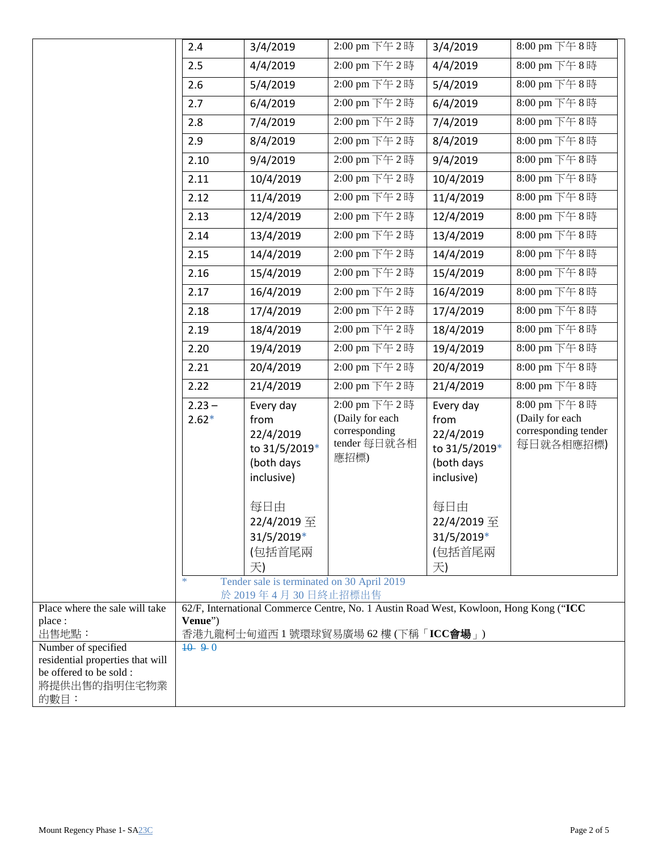|                                                                                                           | 2.4                                                                                              | 3/4/2019                                                                                                                                                                      | 2:00 pm 下午2時                                                             | 3/4/2019                                                                                                                        | 8:00 pm 下午8時                                                         |
|-----------------------------------------------------------------------------------------------------------|--------------------------------------------------------------------------------------------------|-------------------------------------------------------------------------------------------------------------------------------------------------------------------------------|--------------------------------------------------------------------------|---------------------------------------------------------------------------------------------------------------------------------|----------------------------------------------------------------------|
|                                                                                                           | 2.5                                                                                              | 4/4/2019                                                                                                                                                                      | 2:00 pm 下午2時                                                             | 4/4/2019                                                                                                                        | 8:00 pm 下午8時                                                         |
|                                                                                                           | 2.6                                                                                              | 5/4/2019                                                                                                                                                                      | 2:00 pm 下午 2時                                                            | 5/4/2019                                                                                                                        | 8:00 pm 下午8時                                                         |
|                                                                                                           | 2.7                                                                                              | 6/4/2019                                                                                                                                                                      | 2:00 pm 下午2時                                                             | 6/4/2019                                                                                                                        | 8:00 pm 下午8時                                                         |
|                                                                                                           | 2.8                                                                                              | 7/4/2019                                                                                                                                                                      | 2:00 pm 下午2時                                                             | 7/4/2019                                                                                                                        | 8:00 pm 下午8時                                                         |
|                                                                                                           | 2.9                                                                                              | 8/4/2019                                                                                                                                                                      | 2:00 pm 下午2時                                                             | 8/4/2019                                                                                                                        | 8:00 pm 下午8時                                                         |
|                                                                                                           | 2.10                                                                                             | 9/4/2019                                                                                                                                                                      | 2:00 pm 下午2時                                                             | 9/4/2019                                                                                                                        | 8:00 pm 下午8時                                                         |
|                                                                                                           | 2.11                                                                                             | 10/4/2019                                                                                                                                                                     | 2:00 pm 下午2時                                                             | 10/4/2019                                                                                                                       | 8:00 pm 下午8時                                                         |
|                                                                                                           | 2.12                                                                                             | 11/4/2019                                                                                                                                                                     | 2:00 pm 下午 2時                                                            | 11/4/2019                                                                                                                       | 8:00 pm 下午8時                                                         |
|                                                                                                           | 2.13                                                                                             | 12/4/2019                                                                                                                                                                     | 2:00 pm 下午2時                                                             | 12/4/2019                                                                                                                       | 8:00 pm 下午8時                                                         |
|                                                                                                           | 2.14                                                                                             | 13/4/2019                                                                                                                                                                     | 2:00 pm 下午2時                                                             | 13/4/2019                                                                                                                       | 8:00 pm 下午8時                                                         |
|                                                                                                           | 2.15                                                                                             | 14/4/2019                                                                                                                                                                     | 2:00 pm 下午2時                                                             | 14/4/2019                                                                                                                       | 8:00 pm 下午8時                                                         |
|                                                                                                           | 2.16                                                                                             | 15/4/2019                                                                                                                                                                     | 2:00 pm 下午2時                                                             | 15/4/2019                                                                                                                       | 8:00 pm 下午8時                                                         |
|                                                                                                           | 2.17                                                                                             | 16/4/2019                                                                                                                                                                     | 2:00 pm 下午2時                                                             | 16/4/2019                                                                                                                       | 8:00 pm 下午8時                                                         |
|                                                                                                           | 2.18                                                                                             | 17/4/2019                                                                                                                                                                     | 2:00 pm 下午2時                                                             | 17/4/2019                                                                                                                       | 8:00 pm 下午8時                                                         |
|                                                                                                           | 2.19                                                                                             | 18/4/2019                                                                                                                                                                     | 2:00 pm 下午2時                                                             | 18/4/2019                                                                                                                       | 8:00 pm 下午8時                                                         |
|                                                                                                           | 2.20                                                                                             | 19/4/2019                                                                                                                                                                     | 2:00 pm 下午2時                                                             | 19/4/2019                                                                                                                       | 8:00 pm 下午8時                                                         |
|                                                                                                           | 2.21                                                                                             | 20/4/2019                                                                                                                                                                     | 2:00 pm 下午2時                                                             | 20/4/2019                                                                                                                       | 8:00 pm 下午8時                                                         |
|                                                                                                           | 2.22                                                                                             | 21/4/2019                                                                                                                                                                     | 2:00 pm 下午2時                                                             | 21/4/2019                                                                                                                       | 8:00 pm 下午8時                                                         |
|                                                                                                           | $2.23 -$<br>$2.62*$<br>*                                                                         | Every day<br>from<br>22/4/2019<br>to 31/5/2019*<br>(both days<br>inclusive)<br>每日由<br>22/4/2019 至<br>31/5/2019*<br>(包括首尾兩<br>天)<br>Tender sale is terminated on 30 April 2019 | 2:00 pm 下午2時<br>(Daily for each<br>corresponding<br>tender 每日就各相<br>應招標) | Every day<br>from<br>22/4/2019<br>to 31/5/2019*<br>(both days<br>inclusive)<br>每日由<br>22/4/2019 至<br>31/5/2019*<br>(包括首尾兩<br>天) | 8:00 pm 下午8時<br>(Daily for each<br>corresponding tender<br>每日就各相應招標) |
|                                                                                                           |                                                                                                  | 於 2019年4月30日終止招標出售                                                                                                                                                            |                                                                          |                                                                                                                                 |                                                                      |
| Place where the sale will take<br>place :                                                                 | 62/F, International Commerce Centre, No. 1 Austin Road West, Kowloon, Hong Kong ("ICC<br>Venue") |                                                                                                                                                                               |                                                                          |                                                                                                                                 |                                                                      |
| 出售地點:                                                                                                     | 香港九龍柯士甸道西1號環球貿易廣場 62樓 (下稱「ICC會場」)                                                                |                                                                                                                                                                               |                                                                          |                                                                                                                                 |                                                                      |
| Number of specified<br>residential properties that will<br>be offered to be sold:<br>將提供出售的指明住宅物業<br>的數目: | $10^{6}$ 9 0                                                                                     |                                                                                                                                                                               |                                                                          |                                                                                                                                 |                                                                      |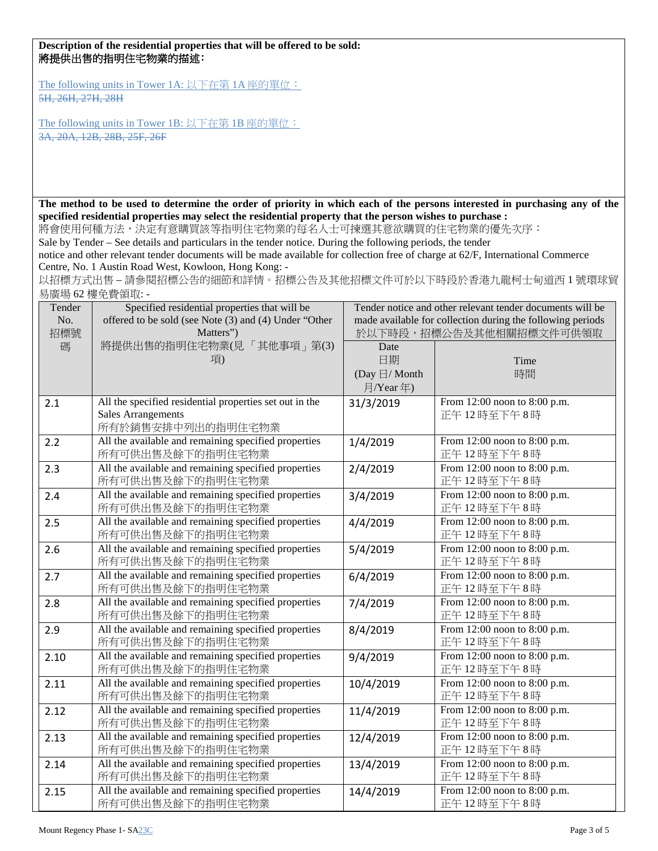## **Description of the residential properties that will be offered to be sold:** 將提供出售的指明住宅物業的描述:

The following units in Tower 1A: 以下在第 1A 座的單位: 5H, 26H, 27H, 28H

The following units in Tower 1B: 以下在第 1B 座的單位: 3A, 20A, 12B, 28B, 25F, 26F

**The method to be used to determine the order of priority in which each of the persons interested in purchasing any of the specified residential properties may select the residential property that the person wishes to purchase :**

將會使用何種方法,決定有意購買該等指明住宅物業的每名人士可揀選其意欲購買的住宅物業的優先次序:

Sale by Tender – See details and particulars in the tender notice. During the following periods, the tender

notice and other relevant tender documents will be made available for collection free of charge at 62/F, International Commerce Centre, No. 1 Austin Road West, Kowloon, Hong Kong: -

以招標方式出售 – 請參閱招標公告的細節和詳情。招標公告及其他招標文件可於以下時段於香港九龍柯士甸道西 1 號環球貿 易廣場 62 樓免費領取: -

| Tender | Specified residential properties that will be           | Tender notice and other relevant tender documents will be  |                              |  |
|--------|---------------------------------------------------------|------------------------------------------------------------|------------------------------|--|
| No.    | offered to be sold (see Note (3) and (4) Under "Other   | made available for collection during the following periods |                              |  |
| 招標號    | Matters")                                               | 於以下時段,招標公告及其他相關招標文件可供領取                                    |                              |  |
| 碼      | 將提供出售的指明住宅物業(見「其他事項」第(3)                                | Date                                                       |                              |  |
|        | 項)                                                      | 日期                                                         | Time                         |  |
|        |                                                         | (Day 日/ Month                                              | 時間                           |  |
|        |                                                         | 月/Year年)                                                   |                              |  |
| 2.1    | All the specified residential properties set out in the | 31/3/2019                                                  | From 12:00 noon to 8:00 p.m. |  |
|        | <b>Sales Arrangements</b>                               |                                                            | 正午12時至下午8時                   |  |
|        | 所有於銷售安排中列出的指明住宅物業                                       |                                                            |                              |  |
| 2.2    | All the available and remaining specified properties    | 1/4/2019                                                   | From 12:00 noon to 8:00 p.m. |  |
|        | 所有可供出售及餘下的指明住宅物業                                        |                                                            | 正午12時至下午8時                   |  |
| 2.3    | All the available and remaining specified properties    | 2/4/2019                                                   | From 12:00 noon to 8:00 p.m. |  |
|        | 所有可供出售及餘下的指明住宅物業                                        |                                                            | 正午12時至下午8時                   |  |
| 2.4    | All the available and remaining specified properties    | 3/4/2019                                                   | From 12:00 noon to 8:00 p.m. |  |
|        | 所有可供出售及餘下的指明住宅物業                                        |                                                            | 正午12時至下午8時                   |  |
| 2.5    | All the available and remaining specified properties    | 4/4/2019                                                   | From 12:00 noon to 8:00 p.m. |  |
|        | 所有可供出售及餘下的指明住宅物業                                        |                                                            | 正午12時至下午8時                   |  |
| 2.6    | All the available and remaining specified properties    | 5/4/2019                                                   | From 12:00 noon to 8:00 p.m. |  |
|        | 所有可供出售及餘下的指明住宅物業                                        |                                                            | 正午12時至下午8時                   |  |
| 2.7    | All the available and remaining specified properties    | 6/4/2019                                                   | From 12:00 noon to 8:00 p.m. |  |
|        | 所有可供出售及餘下的指明住宅物業                                        |                                                            | 正午12時至下午8時                   |  |
| 2.8    | All the available and remaining specified properties    | 7/4/2019                                                   | From 12:00 noon to 8:00 p.m. |  |
|        | 所有可供出售及餘下的指明住宅物業                                        |                                                            | 正午12時至下午8時                   |  |
| 2.9    | All the available and remaining specified properties    | 8/4/2019                                                   | From 12:00 noon to 8:00 p.m. |  |
|        | 所有可供出售及餘下的指明住宅物業                                        |                                                            | 正午12時至下午8時                   |  |
| 2.10   | All the available and remaining specified properties    | 9/4/2019                                                   | From 12:00 noon to 8:00 p.m. |  |
|        | 所有可供出售及餘下的指明住宅物業                                        |                                                            | 正午12時至下午8時                   |  |
| 2.11   | All the available and remaining specified properties    | 10/4/2019                                                  | From 12:00 noon to 8:00 p.m. |  |
|        | 所有可供出售及餘下的指明住宅物業                                        |                                                            | 正午12時至下午8時                   |  |
| 2.12   | All the available and remaining specified properties    | 11/4/2019                                                  | From 12:00 noon to 8:00 p.m. |  |
|        | 所有可供出售及餘下的指明住宅物業                                        |                                                            | 正午12時至下午8時                   |  |
| 2.13   | All the available and remaining specified properties    | 12/4/2019                                                  | From 12:00 noon to 8:00 p.m. |  |
|        | 所有可供出售及餘下的指明住宅物業                                        |                                                            | 正午12時至下午8時                   |  |
| 2.14   | All the available and remaining specified properties    | 13/4/2019                                                  | From 12:00 noon to 8:00 p.m. |  |
|        | 所有可供出售及餘下的指明住宅物業                                        |                                                            | 正午12時至下午8時                   |  |
| 2.15   | All the available and remaining specified properties    | 14/4/2019                                                  | From 12:00 noon to 8:00 p.m. |  |
|        | 所有可供出售及餘下的指明住宅物業                                        |                                                            | 正午12時至下午8時                   |  |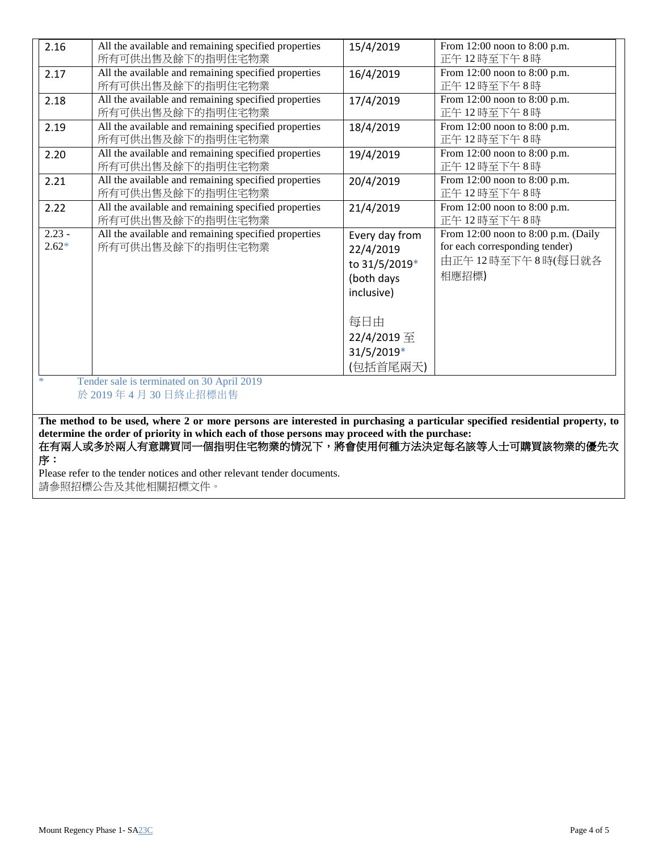| 2.16     | All the available and remaining specified properties                                                                        | 15/4/2019      | From 12:00 noon to 8:00 p.m.        |
|----------|-----------------------------------------------------------------------------------------------------------------------------|----------------|-------------------------------------|
|          | 所有可供出售及餘下的指明住宅物業                                                                                                            |                | 正午12時至下午8時                          |
| 2.17     | All the available and remaining specified properties                                                                        | 16/4/2019      | From 12:00 noon to 8:00 p.m.        |
|          | 所有可供出售及餘下的指明住宅物業                                                                                                            |                | 正午12時至下午8時                          |
| 2.18     | All the available and remaining specified properties                                                                        | 17/4/2019      | From 12:00 noon to 8:00 p.m.        |
|          | 所有可供出售及餘下的指明住宅物業                                                                                                            |                | 正午12時至下午8時                          |
| 2.19     | All the available and remaining specified properties                                                                        | 18/4/2019      | From 12:00 noon to 8:00 p.m.        |
|          | 所有可供出售及餘下的指明住宅物業                                                                                                            |                | 正午12時至下午8時                          |
| 2.20     | All the available and remaining specified properties                                                                        | 19/4/2019      | From 12:00 noon to 8:00 p.m.        |
|          | 所有可供出售及餘下的指明住宅物業                                                                                                            |                | 正午12時至下午8時                          |
| 2.21     | All the available and remaining specified properties                                                                        | 20/4/2019      | From 12:00 noon to 8:00 p.m.        |
|          | 所有可供出售及餘下的指明住宅物業                                                                                                            |                | 正午12時至下午8時                          |
| 2.22     | All the available and remaining specified properties                                                                        | 21/4/2019      | From 12:00 noon to 8:00 p.m.        |
|          | 所有可供出售及餘下的指明住宅物業                                                                                                            |                | 正午12時至下午8時                          |
| $2.23 -$ | All the available and remaining specified properties                                                                        | Every day from | From 12:00 noon to 8:00 p.m. (Daily |
| $2.62*$  | 所有可供出售及餘下的指明住宅物業                                                                                                            | 22/4/2019      | for each corresponding tender)      |
|          |                                                                                                                             | to 31/5/2019*  | 由正午12時至下午8時(每日就各                    |
|          |                                                                                                                             | (both days     | 相應招標)                               |
|          |                                                                                                                             | inclusive)     |                                     |
|          |                                                                                                                             |                |                                     |
|          |                                                                                                                             | 每日由            |                                     |
|          |                                                                                                                             | 22/4/2019 至    |                                     |
|          |                                                                                                                             | 31/5/2019*     |                                     |
|          |                                                                                                                             |                |                                     |
|          |                                                                                                                             | (包括首尾兩天)       |                                     |
| $\ast$   | Tender sale is terminated on 30 April 2019                                                                                  |                |                                     |
|          | 於 2019年4月30日終止招標出售                                                                                                          |                |                                     |
|          |                                                                                                                             |                |                                     |
|          | The method to be used, where 2 or more persons are interested in purchasing a particular specified residential property, to |                |                                     |

**determine the order of priority in which each of those persons may proceed with the purchase:** 在有兩人或多於兩人有意購買同一個指明住宅物業的情況下,將會使用何種方法決定每名該等人士可購買該物業的優先次 序:

Please refer to the tender notices and other relevant tender documents. 請參照招標公告及其他相關招標文件。